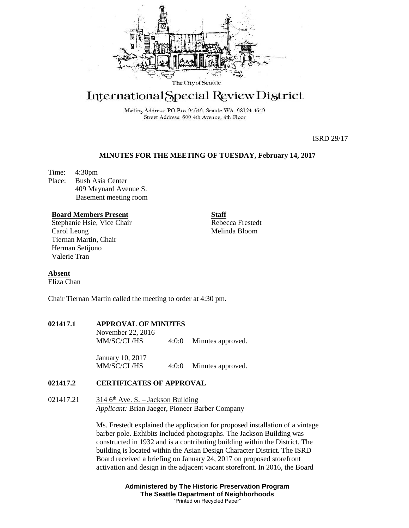

# International Special Review District

Mailing Address: PO Box 94649, Seattle WA 98124-4649 Street Address: 600 4th Avenue, 4th Floor

ISRD 29/17

## **MINUTES FOR THE MEETING OF TUESDAY, February 14, 2017**

Time: 4:30pm Place: Bush Asia Center 409 Maynard Avenue S. Basement meeting room

#### **Board Members Present**

Stephanie Hsie, Vice Chair Carol Leong Tiernan Martin, Chair Herman Setijono Valerie Tran

**Staff** Rebecca Frestedt Melinda Bloom

**Absent**

Eliza Chan

Chair Tiernan Martin called the meeting to order at 4:30 pm.

## **021417.1 APPROVAL OF MINUTES**

November 22, 2016 MM/SC/CL/HS 4:0:0 Minutes approved.

January 10, 2017 MM/SC/CL/HS 4:0:0 Minutes approved.

## **021417.2 CERTIFICATES OF APPROVAL**

021417.21  $314.6^{\text{th}}$  Ave. S. – Jackson Building *Applicant:* Brian Jaeger, Pioneer Barber Company

> Ms. Frestedt explained the application for proposed installation of a vintage barber pole. Exhibits included photographs. The Jackson Building was constructed in 1932 and is a contributing building within the District. The building is located within the Asian Design Character District. The ISRD Board received a briefing on January 24, 2017 on proposed storefront activation and design in the adjacent vacant storefront. In 2016, the Board

> > **Administered by The Historic Preservation Program The Seattle Department of Neighborhoods** "Printed on Recycled Paper"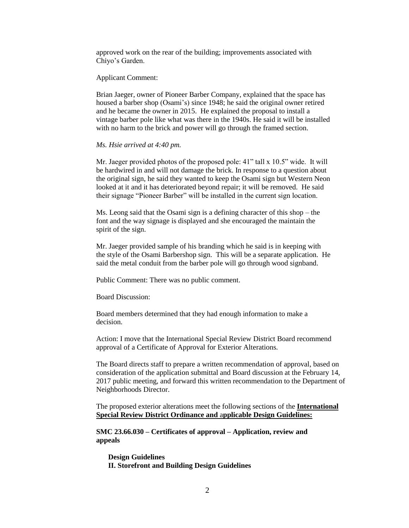approved work on the rear of the building; improvements associated with Chiyo's Garden.

Applicant Comment:

Brian Jaeger, owner of Pioneer Barber Company, explained that the space has housed a barber shop (Osami's) since 1948; he said the original owner retired and he became the owner in 2015. He explained the proposal to install a vintage barber pole like what was there in the 1940s. He said it will be installed with no harm to the brick and power will go through the framed section.

#### *Ms. Hsie arrived at 4:40 pm.*

Mr. Jaeger provided photos of the proposed pole: 41" tall x 10.5" wide. It will be hardwired in and will not damage the brick. In response to a question about the original sign, he said they wanted to keep the Osami sign but Western Neon looked at it and it has deteriorated beyond repair; it will be removed. He said their signage "Pioneer Barber" will be installed in the current sign location.

Ms. Leong said that the Osami sign is a defining character of this shop – the font and the way signage is displayed and she encouraged the maintain the spirit of the sign.

Mr. Jaeger provided sample of his branding which he said is in keeping with the style of the Osami Barbershop sign. This will be a separate application. He said the metal conduit from the barber pole will go through wood signband.

Public Comment: There was no public comment.

Board Discussion:

Board members determined that they had enough information to make a decision.

Action: I move that the International Special Review District Board recommend approval of a Certificate of Approval for Exterior Alterations*.*

The Board directs staff to prepare a written recommendation of approval, based on consideration of the application submittal and Board discussion at the February 14, 2017 public meeting, and forward this written recommendation to the Department of Neighborhoods Director.

The proposed exterior alterations meet the following sections of the **International Special Review District Ordinance and** a**pplicable Design Guidelines:**

**SMC 23.66.030 – Certificates of approval – Application, review and appeals**

**Design Guidelines II. Storefront and Building Design Guidelines**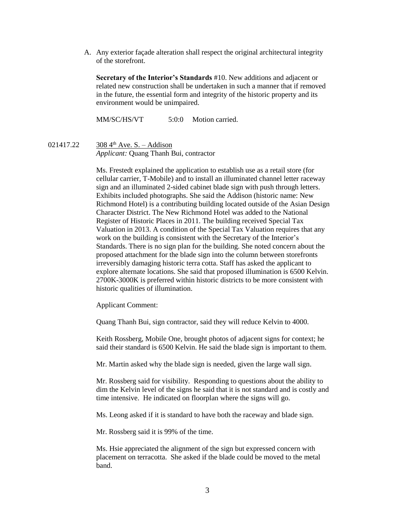A. Any exterior façade alteration shall respect the original architectural integrity of the storefront.

**Secretary of the Interior's Standards** #10. New additions and adjacent or related new construction shall be undertaken in such a manner that if removed in the future, the essential form and integrity of the historic property and its environment would be unimpaired.

MM/SC/HS/VT 5:0:0 Motion carried.

021417.22 308 4<sup>th</sup> Ave. S. – Addison *Applicant:* Quang Thanh Bui, contractor

> Ms. Frestedt explained the application to establish use as a retail store (for cellular carrier, T-Mobile) and to install an illuminated channel letter raceway sign and an illuminated 2-sided cabinet blade sign with push through letters. Exhibits included photographs. She said the Addison (historic name: New Richmond Hotel) is a contributing building located outside of the Asian Design Character District. The New Richmond Hotel was added to the National Register of Historic Places in 2011. The building received Special Tax Valuation in 2013. A condition of the Special Tax Valuation requires that any work on the building is consistent with the Secretary of the Interior's Standards. There is no sign plan for the building. She noted concern about the proposed attachment for the blade sign into the column between storefronts irreversibly damaging historic terra cotta. Staff has asked the applicant to explore alternate locations. She said that proposed illumination is 6500 Kelvin. 2700K-3000K is preferred within historic districts to be more consistent with historic qualities of illumination.

Applicant Comment:

Quang Thanh Bui, sign contractor, said they will reduce Kelvin to 4000.

Keith Rossberg, Mobile One, brought photos of adjacent signs for context; he said their standard is 6500 Kelvin. He said the blade sign is important to them.

Mr. Martin asked why the blade sign is needed, given the large wall sign.

Mr. Rossberg said for visibility. Responding to questions about the ability to dim the Kelvin level of the signs he said that it is not standard and is costly and time intensive. He indicated on floorplan where the signs will go.

Ms. Leong asked if it is standard to have both the raceway and blade sign.

Mr. Rossberg said it is 99% of the time.

Ms. Hsie appreciated the alignment of the sign but expressed concern with placement on terracotta. She asked if the blade could be moved to the metal band.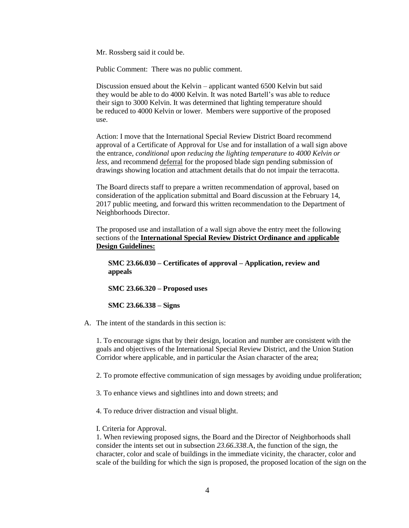Mr. Rossberg said it could be.

Public Comment: There was no public comment.

Discussion ensued about the Kelvin – applicant wanted 6500 Kelvin but said they would be able to do 4000 Kelvin. It was noted Bartell's was able to reduce their sign to 3000 Kelvin. It was determined that lighting temperature should be reduced to 4000 Kelvin or lower. Members were supportive of the proposed use.

Action: I move that the International Special Review District Board recommend approval of a Certificate of Approval for Use and for installation of a wall sign above the entrance, *conditional upon reducing the lighting temperature to 4000 Kelvin or less,* and recommend deferral for the proposed blade sign pending submission of drawings showing location and attachment details that do not impair the terracotta.

The Board directs staff to prepare a written recommendation of approval, based on consideration of the application submittal and Board discussion at the February 14, 2017 public meeting, and forward this written recommendation to the Department of Neighborhoods Director.

The proposed use and installation of a wall sign above the entry meet the following sections of the **International Special Review District Ordinance and** a**pplicable Design Guidelines:**

**SMC 23.66.030 – Certificates of approval – Application, review and appeals**

**SMC 23.66.320 – Proposed uses**

**SMC 23.66.338 – Signs**

A. The intent of the standards in this section is:

1. To encourage signs that by their design, location and number are consistent with the goals and objectives of the International Special Review District, and the Union Station Corridor where applicable, and in particular the Asian character of the area;

2. To promote effective communication of sign messages by avoiding undue proliferation;

3. To enhance views and sightlines into and down streets; and

4. To reduce driver distraction and visual blight.

I. Criteria for Approval.

1. When reviewing proposed signs, the Board and the Director of Neighborhoods shall consider the intents set out in subsection *23.66.338*.A, the function of the sign, the character, color and scale of buildings in the immediate vicinity, the character, color and scale of the building for which the sign is proposed, the proposed location of the sign on the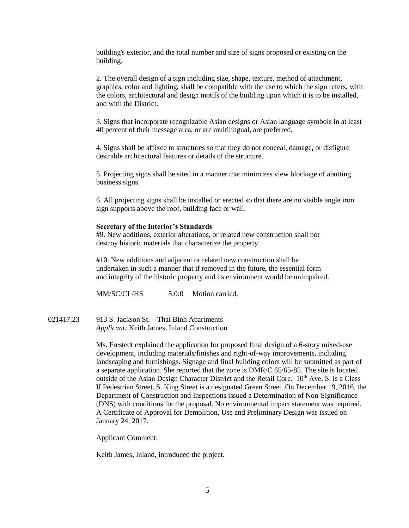building's exterior, and the total number and size of signs proposed or existing on the building.

2. The overall design of a sign including size, shape, texture, method of attachment, graphics, color and lighting, shall be compatible with the use to which the sign refers, with the colors, architectural and design motifs of the building upon which it is to be installed, and with the District.

3. Signs that incorporate recognizable Asian designs or Asian language symbols in at least 40 percent of their message area, or are multilingual, are preferred.

4. Signs shall be affixed to structures so that they do not conceal, damage, or disfigure desirable architectural features or details of the structure.

5. Projecting signs shall be sited in a manner that minimizes view blockage of abutting business signs.

6. All projecting signs shall be installed or erected so that there are no visible angle iron sign supports above the roof, building face or wall.

#### **Secretary of the Interior's Standards**

#9. New additions, exterior alterations, or related new construction shall not destroy historic materials that characterize the property.

#10. New additions and adjacent or related new construction shall be undertaken in such a manner that if removed in the future, the essential form and integrity of the historic property and its environment would be unimpaired.

MM/SC/CL/HS 5:0:0 Motion carried.

021417.23 913 S. Jackson St. – Thai Binh Apartments *Applicant:* Keith James, Inland Construction

> Ms. Frestedt explained the application for proposed final design of a 6-story mixed-use development, including materials/finishes and right-of-way improvements, including landscaping and furnishings. Signage and final building colors will be submitted as part of a separate application. She reported that the zone is DMR/C 65/65-85. The site is located outside of the Asian Design Character District and the Retail Core.  $10<sup>th</sup>$  Ave. S. is a Class II Pedestrian Street. S. King Street is a designated Green Street. On December 19, 2016, the Department of Construction and Inspections issued a Determination of Non-Significance (DNS) with conditions for the proposal. No environmental impact statement was required. A Certificate of Approval for Demolition, Use and Preliminary Design was issued on January 24, 2017.

Applicant Comment:

Keith James, Inland, introduced the project.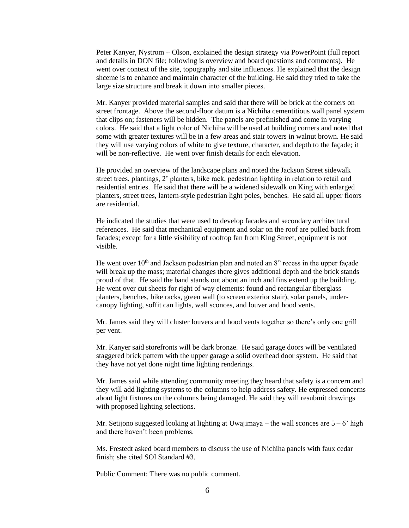Peter Kanyer, Nystrom + Olson, explained the design strategy via PowerPoint (full report and details in DON file; following is overview and board questions and comments). He went over context of the site, topography and site influences. He explained that the design shceme is to enhance and maintain character of the building. He said they tried to take the large size structure and break it down into smaller pieces.

Mr. Kanyer provided material samples and said that there will be brick at the corners on street frontage. Above the second-floor datum is a Nichiha cementitious wall panel system that clips on; fasteners will be hidden. The panels are prefinished and come in varying colors. He said that a light color of Nichiha will be used at building corners and noted that some with greater textures will be in a few areas and stair towers in walnut brown. He said they will use varying colors of white to give texture, character, and depth to the façade; it will be non-reflective. He went over finish details for each elevation.

He provided an overview of the landscape plans and noted the Jackson Street sidewalk street trees, plantings, 2' planters, bike rack, pedestrian lighting in relation to retail and residential entries. He said that there will be a widened sidewalk on King with enlarged planters, street trees, lantern-style pedestrian light poles, benches. He said all upper floors are residential.

He indicated the studies that were used to develop facades and secondary architectural references. He said that mechanical equipment and solar on the roof are pulled back from facades; except for a little visibility of rooftop fan from King Street, equipment is not visible.

He went over  $10<sup>th</sup>$  and Jackson pedestrian plan and noted an 8" recess in the upper façade will break up the mass; material changes there gives additional depth and the brick stands proud of that. He said the band stands out about an inch and fins extend up the building. He went over cut sheets for right of way elements: found and rectangular fiberglass planters, benches, bike racks, green wall (to screen exterior stair), solar panels, undercanopy lighting, soffit can lights, wall sconces, and louver and hood vents.

Mr. James said they will cluster louvers and hood vents together so there's only one grill per vent.

Mr. Kanyer said storefronts will be dark bronze. He said garage doors will be ventilated staggered brick pattern with the upper garage a solid overhead door system. He said that they have not yet done night time lighting renderings.

Mr. James said while attending community meeting they heard that safety is a concern and they will add lighting systems to the columns to help address safety. He expressed concerns about light fixtures on the columns being damaged. He said they will resubmit drawings with proposed lighting selections.

Mr. Setijono suggested looking at lighting at Uwajimaya – the wall sconces are  $5 - 6'$  high and there haven't been problems.

Ms. Frestedt asked board members to discuss the use of Nichiha panels with faux cedar finish; she cited SOI Standard #3.

Public Comment: There was no public comment.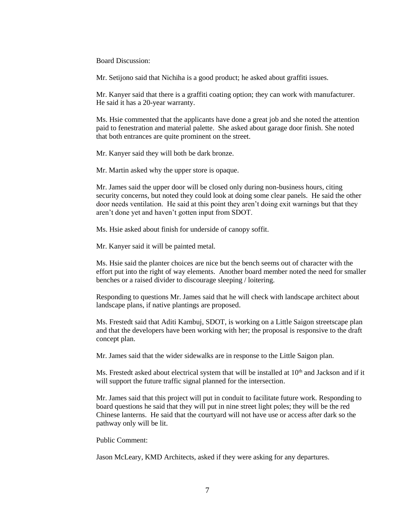Board Discussion:

Mr. Setijono said that Nichiha is a good product; he asked about graffiti issues.

Mr. Kanyer said that there is a graffiti coating option; they can work with manufacturer. He said it has a 20-year warranty.

Ms. Hsie commented that the applicants have done a great job and she noted the attention paid to fenestration and material palette. She asked about garage door finish. She noted that both entrances are quite prominent on the street.

Mr. Kanyer said they will both be dark bronze.

Mr. Martin asked why the upper store is opaque.

Mr. James said the upper door will be closed only during non-business hours, citing security concerns, but noted they could look at doing some clear panels. He said the other door needs ventilation. He said at this point they aren't doing exit warnings but that they aren't done yet and haven't gotten input from SDOT.

Ms. Hsie asked about finish for underside of canopy soffit.

Mr. Kanyer said it will be painted metal.

Ms. Hsie said the planter choices are nice but the bench seems out of character with the effort put into the right of way elements. Another board member noted the need for smaller benches or a raised divider to discourage sleeping / loitering.

Responding to questions Mr. James said that he will check with landscape architect about landscape plans, if native plantings are proposed.

Ms. Frestedt said that Aditi Kambuj, SDOT, is working on a Little Saigon streetscape plan and that the developers have been working with her; the proposal is responsive to the draft concept plan.

Mr. James said that the wider sidewalks are in response to the Little Saigon plan.

Ms. Frestedt asked about electrical system that will be installed at  $10<sup>th</sup>$  and Jackson and if it will support the future traffic signal planned for the intersection.

Mr. James said that this project will put in conduit to facilitate future work. Responding to board questions he said that they will put in nine street light poles; they will be the red Chinese lanterns. He said that the courtyard will not have use or access after dark so the pathway only will be lit.

Public Comment:

Jason McLeary, KMD Architects, asked if they were asking for any departures.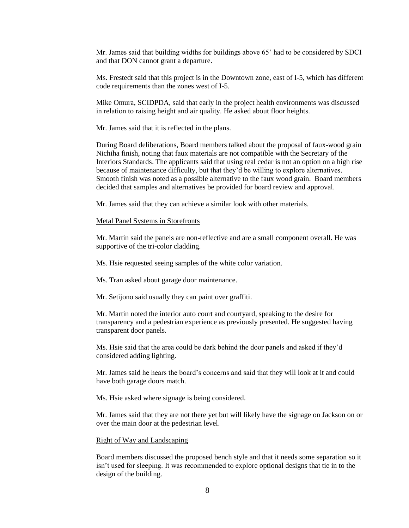Mr. James said that building widths for buildings above 65' had to be considered by SDCI and that DON cannot grant a departure.

Ms. Frestedt said that this project is in the Downtown zone, east of I-5, which has different code requirements than the zones west of I-5.

Mike Omura, SCIDPDA, said that early in the project health environments was discussed in relation to raising height and air quality. He asked about floor heights.

Mr. James said that it is reflected in the plans.

During Board deliberations, Board members talked about the proposal of faux-wood grain Nichiha finish, noting that faux materials are not compatible with the Secretary of the Interiors Standards. The applicants said that using real cedar is not an option on a high rise because of maintenance difficulty, but that they'd be willing to explore alternatives. Smooth finish was noted as a possible alternative to the faux wood grain. Board members decided that samples and alternatives be provided for board review and approval.

Mr. James said that they can achieve a similar look with other materials.

#### Metal Panel Systems in Storefronts

Mr. Martin said the panels are non-reflective and are a small component overall. He was supportive of the tri-color cladding.

Ms. Hsie requested seeing samples of the white color variation.

Ms. Tran asked about garage door maintenance.

Mr. Setijono said usually they can paint over graffiti.

Mr. Martin noted the interior auto court and courtyard, speaking to the desire for transparency and a pedestrian experience as previously presented. He suggested having transparent door panels.

Ms. Hsie said that the area could be dark behind the door panels and asked if they'd considered adding lighting.

Mr. James said he hears the board's concerns and said that they will look at it and could have both garage doors match.

Ms. Hsie asked where signage is being considered.

Mr. James said that they are not there yet but will likely have the signage on Jackson on or over the main door at the pedestrian level.

#### Right of Way and Landscaping

Board members discussed the proposed bench style and that it needs some separation so it isn't used for sleeping. It was recommended to explore optional designs that tie in to the design of the building.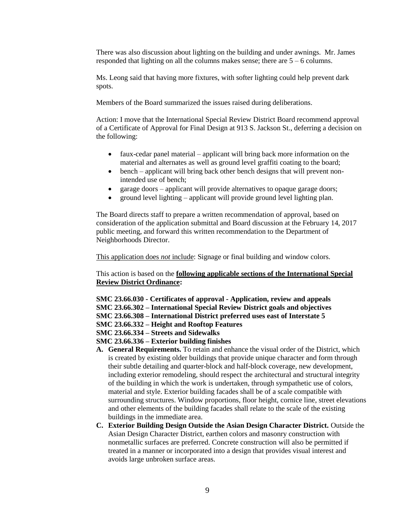There was also discussion about lighting on the building and under awnings. Mr. James responded that lighting on all the columns makes sense; there are 5 – 6 columns.

Ms. Leong said that having more fixtures, with softer lighting could help prevent dark spots.

Members of the Board summarized the issues raised during deliberations.

Action: I move that the International Special Review District Board recommend approval of a Certificate of Approval for Final Design at 913 S. Jackson St., deferring a decision on the following:

- faux-cedar panel material applicant will bring back more information on the material and alternates as well as ground level graffiti coating to the board;
- bench applicant will bring back other bench designs that will prevent nonintended use of bench;
- garage doors applicant will provide alternatives to opaque garage doors;
- ground level lighting applicant will provide ground level lighting plan.

The Board directs staff to prepare a written recommendation of approval, based on consideration of the application submittal and Board discussion at the February 14, 2017 public meeting, and forward this written recommendation to the Department of Neighborhoods Director.

This application does *not* include: Signage or final building and window colors.

This action is based on the **following applicable sections of the International Special Review District Ordinance:** 

- **SMC 23.66.030 - Certificates of approval - Application, review and appeals**
- **SMC 23.66.302 – International Special Review District goals and objectives**
- **SMC 23.66.308 – International District preferred uses east of Interstate 5**

**SMC 23.66.332 – Height and Rooftop Features**

**SMC 23.66.334 – Streets and Sidewalks**

**SMC 23.66.336 – Exterior building finishes**

- **A. General Requirements.** To retain and enhance the visual order of the District, which is created by existing older buildings that provide unique character and form through their subtle detailing and quarter-block and half-block coverage, new development, including exterior remodeling, should respect the architectural and structural integrity of the building in which the work is undertaken, through sympathetic use of colors, material and style. Exterior building facades shall be of a scale compatible with surrounding structures. Window proportions, floor height, cornice line, street elevations and other elements of the building facades shall relate to the scale of the existing buildings in the immediate area.
- **C. Exterior Building Design Outside the Asian Design Character District.** Outside the Asian Design Character District, earthen colors and masonry construction with nonmetallic surfaces are preferred. Concrete construction will also be permitted if treated in a manner or incorporated into a design that provides visual interest and avoids large unbroken surface areas.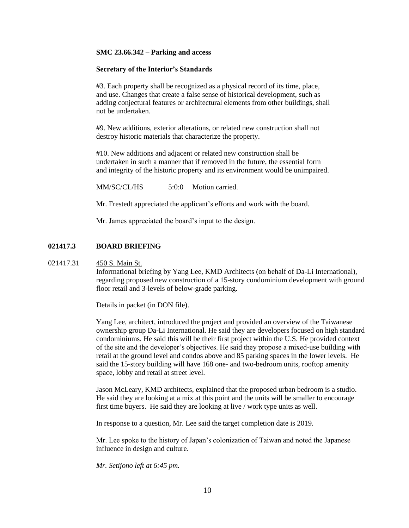## **SMC 23.66.342 – Parking and access**

## **Secretary of the Interior's Standards**

#3. Each property shall be recognized as a physical record of its time, place, and use. Changes that create a false sense of historical development, such as adding conjectural features or architectural elements from other buildings, shall not be undertaken.

#9. New additions, exterior alterations, or related new construction shall not destroy historic materials that characterize the property.

#10. New additions and adjacent or related new construction shall be undertaken in such a manner that if removed in the future, the essential form and integrity of the historic property and its environment would be unimpaired.

MM/SC/CL/HS 5:0:0 Motion carried

Mr. Frestedt appreciated the applicant's efforts and work with the board.

Mr. James appreciated the board's input to the design.

## **021417.3 BOARD BRIEFING**

### 021417.31 450 S. Main St.

Informational briefing by Yang Lee, KMD Architects (on behalf of Da-Li International), regarding proposed new construction of a 15-story condominium development with ground floor retail and 3-levels of below-grade parking.

Details in packet (in DON file).

Yang Lee, architect, introduced the project and provided an overview of the Taiwanese ownership group Da-Li International. He said they are developers focused on high standard condominiums. He said this will be their first project within the U.S. He provided context of the site and the developer's objectives. He said they propose a mixed-use building with retail at the ground level and condos above and 85 parking spaces in the lower levels. He said the 15-story building will have 168 one- and two-bedroom units, rooftop amenity space, lobby and retail at street level.

Jason McLeary, KMD architects, explained that the proposed urban bedroom is a studio. He said they are looking at a mix at this point and the units will be smaller to encourage first time buyers. He said they are looking at live / work type units as well.

In response to a question, Mr. Lee said the target completion date is 2019.

Mr. Lee spoke to the history of Japan's colonization of Taiwan and noted the Japanese influence in design and culture.

*Mr. Setijono left at 6:45 pm.*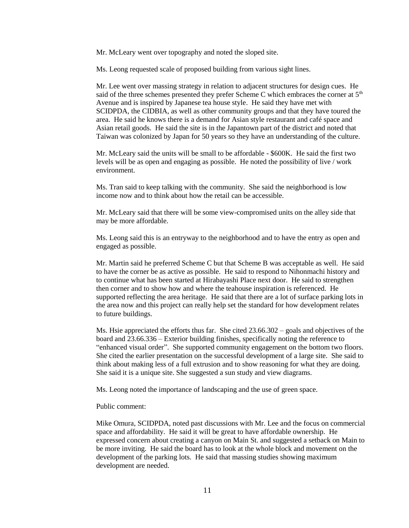Mr. McLeary went over topography and noted the sloped site.

Ms. Leong requested scale of proposed building from various sight lines.

Mr. Lee went over massing strategy in relation to adjacent structures for design cues. He said of the three schemes presented they prefer Scheme C which embraces the corner at  $5<sup>th</sup>$ Avenue and is inspired by Japanese tea house style. He said they have met with SCIDPDA, the CIDBIA, as well as other community groups and that they have toured the area. He said he knows there is a demand for Asian style restaurant and café space and Asian retail goods. He said the site is in the Japantown part of the district and noted that Taiwan was colonized by Japan for 50 years so they have an understanding of the culture.

Mr. McLeary said the units will be small to be affordable - \$600K. He said the first two levels will be as open and engaging as possible. He noted the possibility of live / work environment.

Ms. Tran said to keep talking with the community. She said the neighborhood is low income now and to think about how the retail can be accessible.

Mr. McLeary said that there will be some view-compromised units on the alley side that may be more affordable.

Ms. Leong said this is an entryway to the neighborhood and to have the entry as open and engaged as possible.

Mr. Martin said he preferred Scheme C but that Scheme B was acceptable as well. He said to have the corner be as active as possible. He said to respond to Nihonmachi history and to continue what has been started at Hirabayashi Place next door. He said to strengthen then corner and to show how and where the teahouse inspiration is referenced. He supported reflecting the area heritage. He said that there are a lot of surface parking lots in the area now and this project can really help set the standard for how development relates to future buildings.

Ms. Hsie appreciated the efforts thus far. She cited 23.66.302 – goals and objectives of the board and 23.66.336 – Exterior building finishes, specifically noting the reference to "enhanced visual order". She supported community engagement on the bottom two floors. She cited the earlier presentation on the successful development of a large site. She said to think about making less of a full extrusion and to show reasoning for what they are doing. She said it is a unique site. She suggested a sun study and view diagrams.

Ms. Leong noted the importance of landscaping and the use of green space.

#### Public comment:

Mike Omura, SCIDPDA, noted past discussions with Mr. Lee and the focus on commercial space and affordability. He said it will be great to have affordable ownership. He expressed concern about creating a canyon on Main St. and suggested a setback on Main to be more inviting. He said the board has to look at the whole block and movement on the development of the parking lots. He said that massing studies showing maximum development are needed.